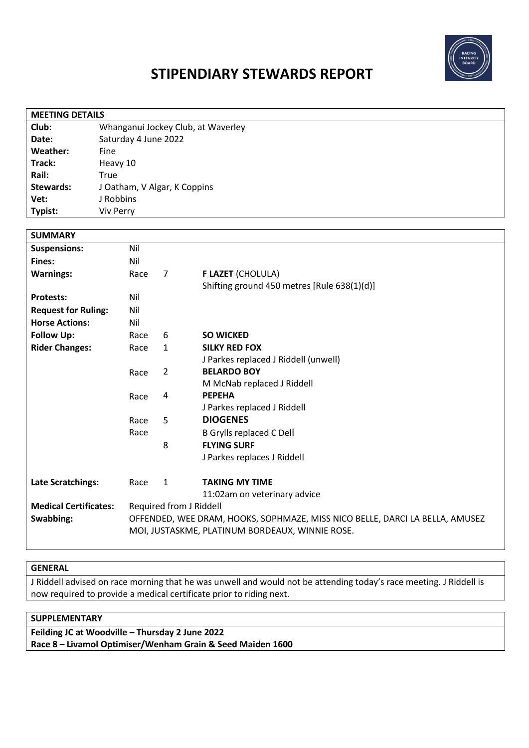

# **STIPENDIARY STEWARDS REPORT**

| Club:<br>Whanganui Jockey Club, at Waverley<br>Saturday 4 June 2022<br>Date:<br>Weather:<br>Fine<br>Track:<br>Heavy 10<br>Rail:<br>True<br><b>Stewards:</b><br>J Oatham, V Algar, K Coppins<br>J Robbins<br>Vet:<br>Viv Perry<br>Typist:<br><b>SUMMARY</b><br>Nil<br><b>Suspensions:</b><br>Fines:<br>Nil<br><b>Warnings:</b><br>$\overline{7}$<br><b>F LAZET (CHOLULA)</b><br>Race<br>Shifting ground 450 metres [Rule 638(1)(d)]<br>Nil<br><b>Protests:</b><br>Nil<br><b>Request for Ruling:</b><br><b>Horse Actions:</b><br>Nil<br><b>Follow Up:</b><br>6<br><b>SO WICKED</b><br>Race<br><b>Rider Changes:</b><br>Race<br>$\mathbf{1}$<br><b>SILKY RED FOX</b><br>J Parkes replaced J Riddell (unwell)<br><b>BELARDO BOY</b><br>2<br>Race<br>M McNab replaced J Riddell<br><b>PEPEHA</b><br>4<br>Race<br>J Parkes replaced J Riddell<br><b>DIOGENES</b><br>5<br>Race<br>Race<br><b>B Grylls replaced C Dell</b><br><b>FLYING SURF</b><br>8<br>J Parkes replaces J Riddell<br>Late Scratchings:<br>$\mathbf{1}$<br><b>TAKING MY TIME</b><br>Race<br>11:02am on veterinary advice<br><b>Medical Certificates:</b><br>Required from J Riddell<br>Swabbing:<br>OFFENDED, WEE DRAM, HOOKS, SOPHMAZE, MISS NICO BELLE, DARCI LA BELLA, AMUSEZ | <b>MEETING DETAILS</b> |  |  |  |  |  |  |
|--------------------------------------------------------------------------------------------------------------------------------------------------------------------------------------------------------------------------------------------------------------------------------------------------------------------------------------------------------------------------------------------------------------------------------------------------------------------------------------------------------------------------------------------------------------------------------------------------------------------------------------------------------------------------------------------------------------------------------------------------------------------------------------------------------------------------------------------------------------------------------------------------------------------------------------------------------------------------------------------------------------------------------------------------------------------------------------------------------------------------------------------------------------------------------------------------------------------------------------------|------------------------|--|--|--|--|--|--|
|                                                                                                                                                                                                                                                                                                                                                                                                                                                                                                                                                                                                                                                                                                                                                                                                                                                                                                                                                                                                                                                                                                                                                                                                                                            |                        |  |  |  |  |  |  |
|                                                                                                                                                                                                                                                                                                                                                                                                                                                                                                                                                                                                                                                                                                                                                                                                                                                                                                                                                                                                                                                                                                                                                                                                                                            |                        |  |  |  |  |  |  |
|                                                                                                                                                                                                                                                                                                                                                                                                                                                                                                                                                                                                                                                                                                                                                                                                                                                                                                                                                                                                                                                                                                                                                                                                                                            |                        |  |  |  |  |  |  |
|                                                                                                                                                                                                                                                                                                                                                                                                                                                                                                                                                                                                                                                                                                                                                                                                                                                                                                                                                                                                                                                                                                                                                                                                                                            |                        |  |  |  |  |  |  |
|                                                                                                                                                                                                                                                                                                                                                                                                                                                                                                                                                                                                                                                                                                                                                                                                                                                                                                                                                                                                                                                                                                                                                                                                                                            |                        |  |  |  |  |  |  |
|                                                                                                                                                                                                                                                                                                                                                                                                                                                                                                                                                                                                                                                                                                                                                                                                                                                                                                                                                                                                                                                                                                                                                                                                                                            |                        |  |  |  |  |  |  |
|                                                                                                                                                                                                                                                                                                                                                                                                                                                                                                                                                                                                                                                                                                                                                                                                                                                                                                                                                                                                                                                                                                                                                                                                                                            |                        |  |  |  |  |  |  |
|                                                                                                                                                                                                                                                                                                                                                                                                                                                                                                                                                                                                                                                                                                                                                                                                                                                                                                                                                                                                                                                                                                                                                                                                                                            |                        |  |  |  |  |  |  |
|                                                                                                                                                                                                                                                                                                                                                                                                                                                                                                                                                                                                                                                                                                                                                                                                                                                                                                                                                                                                                                                                                                                                                                                                                                            |                        |  |  |  |  |  |  |
|                                                                                                                                                                                                                                                                                                                                                                                                                                                                                                                                                                                                                                                                                                                                                                                                                                                                                                                                                                                                                                                                                                                                                                                                                                            |                        |  |  |  |  |  |  |
|                                                                                                                                                                                                                                                                                                                                                                                                                                                                                                                                                                                                                                                                                                                                                                                                                                                                                                                                                                                                                                                                                                                                                                                                                                            |                        |  |  |  |  |  |  |
|                                                                                                                                                                                                                                                                                                                                                                                                                                                                                                                                                                                                                                                                                                                                                                                                                                                                                                                                                                                                                                                                                                                                                                                                                                            |                        |  |  |  |  |  |  |
|                                                                                                                                                                                                                                                                                                                                                                                                                                                                                                                                                                                                                                                                                                                                                                                                                                                                                                                                                                                                                                                                                                                                                                                                                                            |                        |  |  |  |  |  |  |
|                                                                                                                                                                                                                                                                                                                                                                                                                                                                                                                                                                                                                                                                                                                                                                                                                                                                                                                                                                                                                                                                                                                                                                                                                                            |                        |  |  |  |  |  |  |
|                                                                                                                                                                                                                                                                                                                                                                                                                                                                                                                                                                                                                                                                                                                                                                                                                                                                                                                                                                                                                                                                                                                                                                                                                                            |                        |  |  |  |  |  |  |
|                                                                                                                                                                                                                                                                                                                                                                                                                                                                                                                                                                                                                                                                                                                                                                                                                                                                                                                                                                                                                                                                                                                                                                                                                                            |                        |  |  |  |  |  |  |
|                                                                                                                                                                                                                                                                                                                                                                                                                                                                                                                                                                                                                                                                                                                                                                                                                                                                                                                                                                                                                                                                                                                                                                                                                                            |                        |  |  |  |  |  |  |
|                                                                                                                                                                                                                                                                                                                                                                                                                                                                                                                                                                                                                                                                                                                                                                                                                                                                                                                                                                                                                                                                                                                                                                                                                                            |                        |  |  |  |  |  |  |
|                                                                                                                                                                                                                                                                                                                                                                                                                                                                                                                                                                                                                                                                                                                                                                                                                                                                                                                                                                                                                                                                                                                                                                                                                                            |                        |  |  |  |  |  |  |
|                                                                                                                                                                                                                                                                                                                                                                                                                                                                                                                                                                                                                                                                                                                                                                                                                                                                                                                                                                                                                                                                                                                                                                                                                                            |                        |  |  |  |  |  |  |
|                                                                                                                                                                                                                                                                                                                                                                                                                                                                                                                                                                                                                                                                                                                                                                                                                                                                                                                                                                                                                                                                                                                                                                                                                                            |                        |  |  |  |  |  |  |
|                                                                                                                                                                                                                                                                                                                                                                                                                                                                                                                                                                                                                                                                                                                                                                                                                                                                                                                                                                                                                                                                                                                                                                                                                                            |                        |  |  |  |  |  |  |
|                                                                                                                                                                                                                                                                                                                                                                                                                                                                                                                                                                                                                                                                                                                                                                                                                                                                                                                                                                                                                                                                                                                                                                                                                                            |                        |  |  |  |  |  |  |
|                                                                                                                                                                                                                                                                                                                                                                                                                                                                                                                                                                                                                                                                                                                                                                                                                                                                                                                                                                                                                                                                                                                                                                                                                                            |                        |  |  |  |  |  |  |
|                                                                                                                                                                                                                                                                                                                                                                                                                                                                                                                                                                                                                                                                                                                                                                                                                                                                                                                                                                                                                                                                                                                                                                                                                                            |                        |  |  |  |  |  |  |
|                                                                                                                                                                                                                                                                                                                                                                                                                                                                                                                                                                                                                                                                                                                                                                                                                                                                                                                                                                                                                                                                                                                                                                                                                                            |                        |  |  |  |  |  |  |
|                                                                                                                                                                                                                                                                                                                                                                                                                                                                                                                                                                                                                                                                                                                                                                                                                                                                                                                                                                                                                                                                                                                                                                                                                                            |                        |  |  |  |  |  |  |
|                                                                                                                                                                                                                                                                                                                                                                                                                                                                                                                                                                                                                                                                                                                                                                                                                                                                                                                                                                                                                                                                                                                                                                                                                                            |                        |  |  |  |  |  |  |
|                                                                                                                                                                                                                                                                                                                                                                                                                                                                                                                                                                                                                                                                                                                                                                                                                                                                                                                                                                                                                                                                                                                                                                                                                                            |                        |  |  |  |  |  |  |
|                                                                                                                                                                                                                                                                                                                                                                                                                                                                                                                                                                                                                                                                                                                                                                                                                                                                                                                                                                                                                                                                                                                                                                                                                                            |                        |  |  |  |  |  |  |
|                                                                                                                                                                                                                                                                                                                                                                                                                                                                                                                                                                                                                                                                                                                                                                                                                                                                                                                                                                                                                                                                                                                                                                                                                                            |                        |  |  |  |  |  |  |
|                                                                                                                                                                                                                                                                                                                                                                                                                                                                                                                                                                                                                                                                                                                                                                                                                                                                                                                                                                                                                                                                                                                                                                                                                                            |                        |  |  |  |  |  |  |
|                                                                                                                                                                                                                                                                                                                                                                                                                                                                                                                                                                                                                                                                                                                                                                                                                                                                                                                                                                                                                                                                                                                                                                                                                                            |                        |  |  |  |  |  |  |
| MOI, JUSTASKME, PLATINUM BORDEAUX, WINNIE ROSE.                                                                                                                                                                                                                                                                                                                                                                                                                                                                                                                                                                                                                                                                                                                                                                                                                                                                                                                                                                                                                                                                                                                                                                                            |                        |  |  |  |  |  |  |

### **GENERAL**

J Riddell advised on race morning that he was unwell and would not be attending today's race meeting. J Riddell is now required to provide a medical certificate prior to riding next.

## **SUPPLEMENTARY**

**Feilding JC at Woodville – Thursday 2 June 2022 Race 8 – Livamol Optimiser/Wenham Grain & Seed Maiden 1600**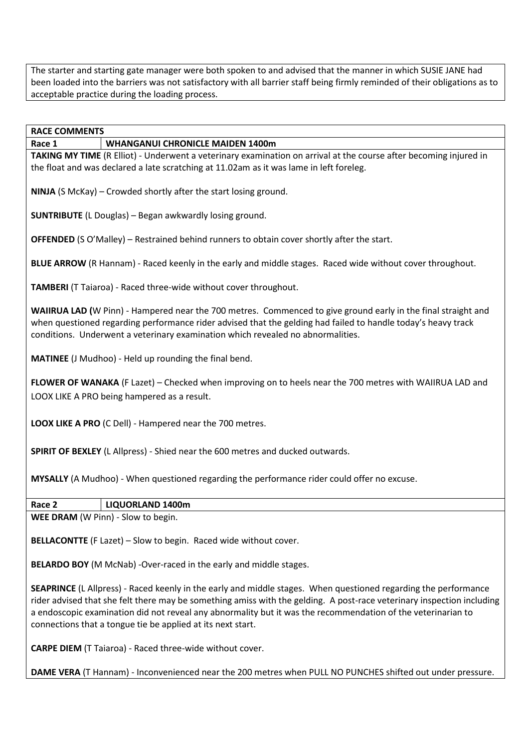The starter and starting gate manager were both spoken to and advised that the manner in which SUSIE JANE had been loaded into the barriers was not satisfactory with all barrier staff being firmly reminded of their obligations as to acceptable practice during the loading process.

**RACE COMMENTS**

#### **Race 1 WHANGANUI CHRONICLE MAIDEN 1400m**

**TAKING MY TIME** (R Elliot) - Underwent a veterinary examination on arrival at the course after becoming injured in the float and was declared a late scratching at 11.02am as it was lame in left foreleg.

**NINJA** (S McKay) – Crowded shortly after the start losing ground.

**SUNTRIBUTE** (L Douglas) – Began awkwardly losing ground.

**OFFENDED** (S O'Malley) – Restrained behind runners to obtain cover shortly after the start.

**BLUE ARROW** (R Hannam) - Raced keenly in the early and middle stages. Raced wide without cover throughout.

**TAMBERI** (T Taiaroa) - Raced three-wide without cover throughout.

**WAIIRUA LAD (**W Pinn) - Hampered near the 700 metres. Commenced to give ground early in the final straight and when questioned regarding performance rider advised that the gelding had failed to handle today's heavy track conditions. Underwent a veterinary examination which revealed no abnormalities.

**MATINEE** (J Mudhoo) - Held up rounding the final bend.

**FLOWER OF WANAKA** (F Lazet) – Checked when improving on to heels near the 700 metres with WAIIRUA LAD and LOOX LIKE A PRO being hampered as a result.

**LOOX LIKE A PRO** (C Dell) - Hampered near the 700 metres.

**SPIRIT OF BEXLEY** (L Allpress) - Shied near the 600 metres and ducked outwards.

**MYSALLY** (A Mudhoo) - When questioned regarding the performance rider could offer no excuse.

| ∣ Race 2 | LIQUORLAND 1400m                                      |  |
|----------|-------------------------------------------------------|--|
|          | $\vert$ MEE DRAM $\vert$ M Dinn $\vert$ Clow to begin |  |

**WEE DRAM** (W Pinn) - Slow to begin.

**BELLACONTTE** (F Lazet) – Slow to begin. Raced wide without cover.

**BELARDO BOY** (M McNab) -Over-raced in the early and middle stages.

**SEAPRINCE** (L Allpress) - Raced keenly in the early and middle stages. When questioned regarding the performance rider advised that she felt there may be something amiss with the gelding. A post-race veterinary inspection including a endoscopic examination did not reveal any abnormality but it was the recommendation of the veterinarian to connections that a tongue tie be applied at its next start.

**CARPE DIEM** (T Taiaroa) - Raced three-wide without cover.

**DAME VERA** (T Hannam) - Inconvenienced near the 200 metres when PULL NO PUNCHES shifted out under pressure.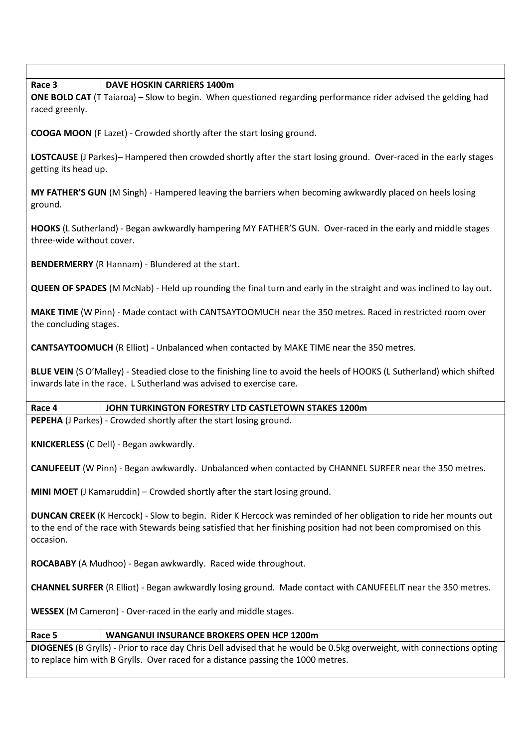| Race 3<br><b>DAVE HOSKIN CARRIERS 1400m</b>                                                                                                                                                                                                       |  |  |  |  |  |
|---------------------------------------------------------------------------------------------------------------------------------------------------------------------------------------------------------------------------------------------------|--|--|--|--|--|
| ONE BOLD CAT (T Taiaroa) - Slow to begin. When questioned regarding performance rider advised the gelding had<br>raced greenly.                                                                                                                   |  |  |  |  |  |
| <b>COOGA MOON</b> (F Lazet) - Crowded shortly after the start losing ground.                                                                                                                                                                      |  |  |  |  |  |
| LOSTCAUSE (J Parkes)– Hampered then crowded shortly after the start losing ground. Over-raced in the early stages<br>getting its head up.                                                                                                         |  |  |  |  |  |
| MY FATHER'S GUN (M Singh) - Hampered leaving the barriers when becoming awkwardly placed on heels losing<br>ground.                                                                                                                               |  |  |  |  |  |
| HOOKS (L Sutherland) - Began awkwardly hampering MY FATHER'S GUN. Over-raced in the early and middle stages<br>three-wide without cover.                                                                                                          |  |  |  |  |  |
| <b>BENDERMERRY</b> (R Hannam) - Blundered at the start.                                                                                                                                                                                           |  |  |  |  |  |
| QUEEN OF SPADES (M McNab) - Held up rounding the final turn and early in the straight and was inclined to lay out.                                                                                                                                |  |  |  |  |  |
| MAKE TIME (W Pinn) - Made contact with CANTSAYTOOMUCH near the 350 metres. Raced in restricted room over<br>the concluding stages.                                                                                                                |  |  |  |  |  |
| <b>CANTSAYTOOMUCH</b> (R Elliot) - Unbalanced when contacted by MAKE TIME near the 350 metres.                                                                                                                                                    |  |  |  |  |  |
| BLUE VEIN (SO'Malley) - Steadied close to the finishing line to avoid the heels of HOOKS (L Sutherland) which shifted<br>inwards late in the race. L Sutherland was advised to exercise care.                                                     |  |  |  |  |  |
| Race 4<br>JOHN TURKINGTON FORESTRY LTD CASTLETOWN STAKES 1200m                                                                                                                                                                                    |  |  |  |  |  |
| PEPEHA (J Parkes) - Crowded shortly after the start losing ground.                                                                                                                                                                                |  |  |  |  |  |
| KNICKERLESS (C Dell) - Began awkwardly.                                                                                                                                                                                                           |  |  |  |  |  |
| CANUFEELIT (W Pinn) - Began awkwardly. Unbalanced when contacted by CHANNEL SURFER near the 350 metres.                                                                                                                                           |  |  |  |  |  |
| MINI MOET (J Kamaruddin) - Crowded shortly after the start losing ground.                                                                                                                                                                         |  |  |  |  |  |
| DUNCAN CREEK (K Hercock) - Slow to begin. Rider K Hercock was reminded of her obligation to ride her mounts out<br>to the end of the race with Stewards being satisfied that her finishing position had not been compromised on this<br>occasion. |  |  |  |  |  |
| ROCABABY (A Mudhoo) - Began awkwardly. Raced wide throughout.                                                                                                                                                                                     |  |  |  |  |  |
| CHANNEL SURFER (R Elliot) - Began awkwardly losing ground. Made contact with CANUFEELIT near the 350 metres.                                                                                                                                      |  |  |  |  |  |
| WESSEX (M Cameron) - Over-raced in the early and middle stages.                                                                                                                                                                                   |  |  |  |  |  |
| Race 5<br><b>WANGANUI INSURANCE BROKERS OPEN HCP 1200m</b>                                                                                                                                                                                        |  |  |  |  |  |
| DIOGENES (B Grylls) - Prior to race day Chris Dell advised that he would be 0.5kg overweight, with connections opting                                                                                                                             |  |  |  |  |  |
| to replace him with B Grylls. Over raced for a distance passing the 1000 metres.                                                                                                                                                                  |  |  |  |  |  |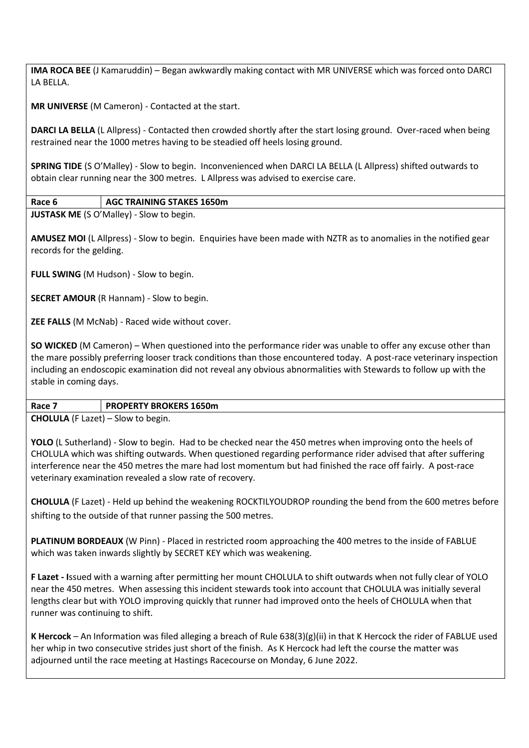**IMA ROCA BEE** (J Kamaruddin) – Began awkwardly making contact with MR UNIVERSE which was forced onto DARCI LA BELLA.

**MR UNIVERSE** (M Cameron) - Contacted at the start.

**DARCI LA BELLA** (L Allpress) - Contacted then crowded shortly after the start losing ground. Over-raced when being restrained near the 1000 metres having to be steadied off heels losing ground.

**SPRING TIDE** (S O'Malley) - Slow to begin. Inconvenienced when DARCI LA BELLA (L Allpress) shifted outwards to obtain clear running near the 300 metres. L Allpress was advised to exercise care.

**Race 6 AGC TRAINING STAKES 1650m**

**JUSTASK ME** (S O'Malley) - Slow to begin.

**AMUSEZ MOI** (L Allpress) - Slow to begin. Enquiries have been made with NZTR as to anomalies in the notified gear records for the gelding.

**FULL SWING** (M Hudson) - Slow to begin.

**SECRET AMOUR** (R Hannam) - Slow to begin.

**ZEE FALLS** (M McNab) - Raced wide without cover.

**SO WICKED** (M Cameron) – When questioned into the performance rider was unable to offer any excuse other than the mare possibly preferring looser track conditions than those encountered today. A post-race veterinary inspection including an endoscopic examination did not reveal any obvious abnormalities with Stewards to follow up with the stable in coming days.

# **Race 7 PROPERTY BROKERS 1650m**

**CHOLULA** (F Lazet) – Slow to begin.

**YOLO** (L Sutherland) - Slow to begin. Had to be checked near the 450 metres when improving onto the heels of CHOLULA which was shifting outwards. When questioned regarding performance rider advised that after suffering interference near the 450 metres the mare had lost momentum but had finished the race off fairly. A post-race veterinary examination revealed a slow rate of recovery.

**CHOLULA** (F Lazet) - Held up behind the weakening ROCKTILYOUDROP rounding the bend from the 600 metres before shifting to the outside of that runner passing the 500 metres.

**PLATINUM BORDEAUX** (W Pinn) - Placed in restricted room approaching the 400 metres to the inside of FABLUE which was taken inwards slightly by SECRET KEY which was weakening.

**F Lazet - I**ssued with a warning after permitting her mount CHOLULA to shift outwards when not fully clear of YOLO near the 450 metres. When assessing this incident stewards took into account that CHOLULA was initially several lengths clear but with YOLO improving quickly that runner had improved onto the heels of CHOLULA when that runner was continuing to shift.

**K Hercock** – An Information was filed alleging a breach of Rule  $638(3)(g)(ii)$  in that K Hercock the rider of FABLUE used her whip in two consecutive strides just short of the finish. As K Hercock had left the course the matter was adjourned until the race meeting at Hastings Racecourse on Monday, 6 June 2022.